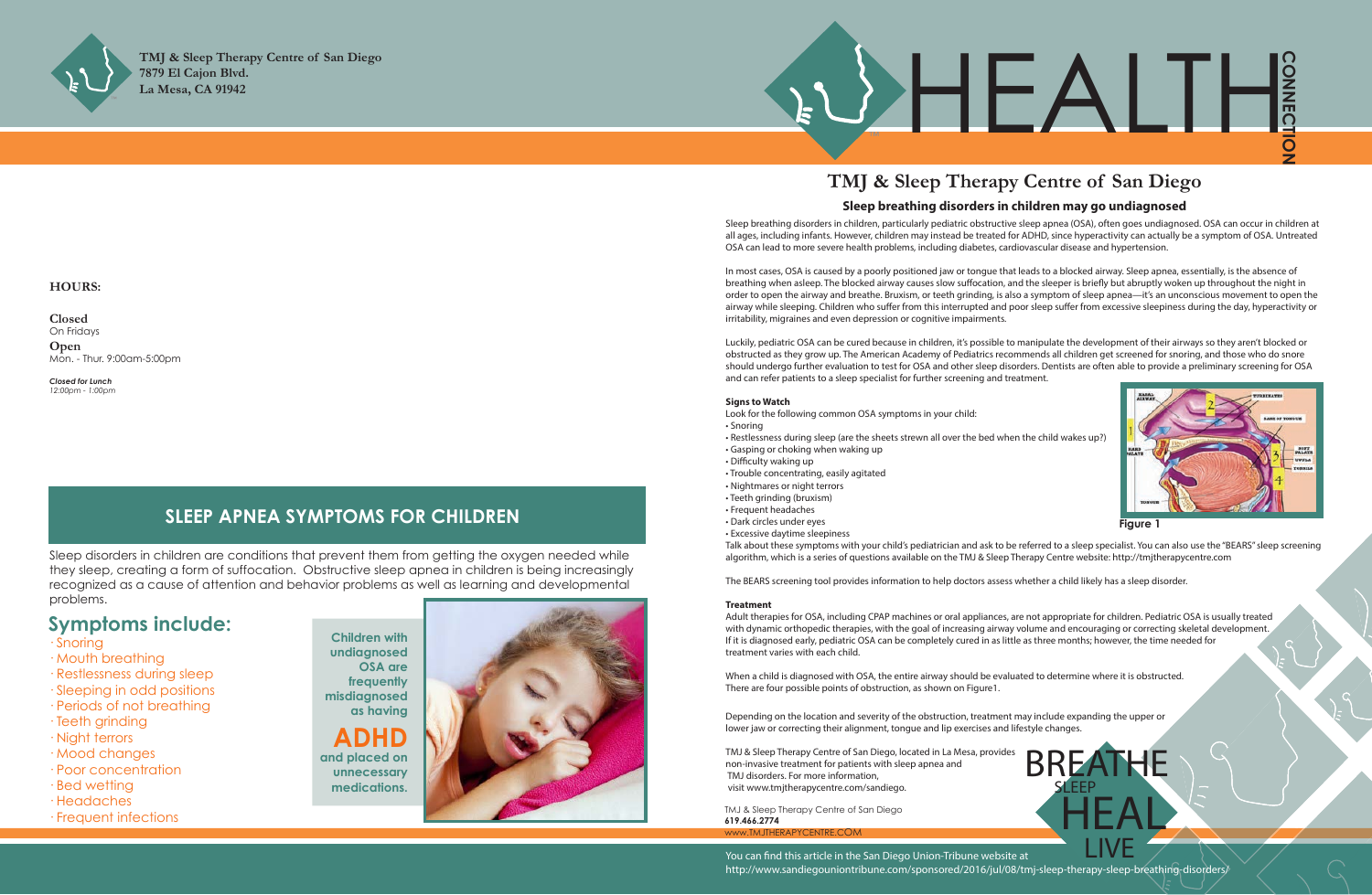





# **Symptoms include:**

- · Snoring
- · Mouth breathing
- · Restlessness during sleep
- · Sleeping in odd positions
- · Periods of not breathing
- · Teeth grinding
- · Night terrors
- · Mood changes
- · Poor concentration
- · Bed wetting

i<br>I

- · Headaches
- · Frequent infections

**Children with undiagnosed OSA are frequently misdiagnosed as having ADHD and placed on** 

> TMJ & Sleep Therapy Centre of San Diego **619.466.2774**  www.TMJTHERAPYCE

**unnecessary medications.**



Sleep disorders in children are conditions that prevent them from getting the oxygen needed while they sleep, creating a form of suffocation. Obstructive sleep apnea in children is being increasingly recognized as a cause of attention and behavior problems as well as learning and developmental problems.

# **SLEEP APNEA SYMPTOMS FOR CHILDREN**

### **HOURS:**

**Closed** On Fridays **Open** Mon. - Thur. 9:00am-5:00pm

*Closed for Lunch 12:00pm - 1:00pm*

# **TMJ & Sleep Therapy Centre of San Diego**

BREATHE

**HEAL** 

**SLEEP** 



Sleep breathing disorders in children, particularly pediatric obstructive sleep apnea (OSA), often goes undiagnosed. OSA can occur in children at all ages, including infants. However, children may instead be treated for ADHD, since hyperactivity can actually be a symptom of OSA. Untreated OSA can lead to more severe health problems, including diabetes, cardiovascular disease and hypertension.

In most cases, OSA is caused by a poorly positioned jaw or tongue that leads to a blocked airway. Sleep apnea, essentially, is the absence of breathing when asleep. The blocked airway causes slow suffocation, and the sleeper is briefly but abruptly woken up throughout the night in order to open the airway and breathe. Bruxism, or teeth grinding, is also a symptom of sleep apnea—it's an unconscious movement to open the airway while sleeping. Children who suffer from this interrupted and poor sleep suffer from excessive sleepiness during the day, hyperactivity or irritability, migraines and even depression or cognitive impairments.

Luckily, pediatric OSA can be cured because in children, it's possible to manipulate the development of their airways so they aren't blocked or obstructed as they grow up. The American Academy of Pediatrics recommends all children get screened for snoring, and those who do snore should undergo further evaluation to test for OSA and other sleep disorders. Dentists are often able to provide a preliminary screening for OSA and can refer patients to a sleep specialist for further screening and treatment.

#### **Signs to Watch**

- Look for the following common OSA symptoms in your child: • Snoring
- Restlessness during sleep (are the sheets strewn all over the bed when the child wakes up?)
- Gasping or choking when waking up
- Difficulty waking up
- Trouble concentrating, easily agitated
- Nightmares or night terrors
- Teeth grinding (bruxism)
- Frequent headaches
- Dark circles under eyes
- Excessive daytime sleepiness

LIVE You can find this article in the San Diego Union-Tribune website at http://www.sandiegouniontribune.com/sponsored/2016/jul/08/tmj-sleep-therapy-sleep-breathing-disorders/

Talk about these symptoms with your child's pediatrician and ask to be referred to a sleep specialist. You can also use the "BEARS" sleep screening algorithm, which is a series of questions available on the TMJ & Sleep Therapy Centre website: http://tmjtherapycentre.com

The BEARS screening tool provides information to help doctors assess whether a child likely has a sleep disorder.

### **Treatment**

Adult therapies for OSA, including CPAP machines or oral appliances, are not appropriate for children. Pediatric OSA is usually treated with dynamic orthopedic therapies, with the goal of increasing airway volume and encouraging or correcting skeletal development. If it is diagnosed early, pediatric OSA can be completely cured in as little as three months; however, the time needed for treatment varies with each child.

When a child is diagnosed with OSA, the entire airway should be evaluated to determine where it is obstructed. There are four possible points of obstruction, as shown on Figure1.

Depending on the location and severity of the obstruction, treatment may include expanding the upper or lower jaw or correcting their alignment, tongue and lip exercises and lifestyle changes.

TMJ & Sleep Therapy Centre of San Diego, located in La Mesa, provides non-invasive treatment for patients with sleep apnea and TMJ disorders. For more information, visit www.tmjtherapycentre.com/sandiego.

## **Sleep breathing disorders in children may go undiagnosed**